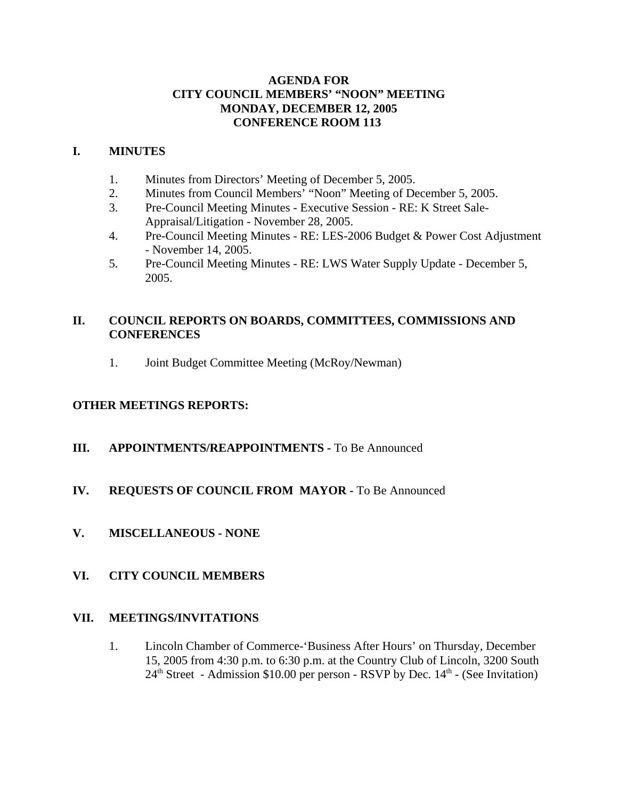# **AGENDA FOR CITY COUNCIL MEMBERS' "NOON" MEETING MONDAY, DECEMBER 12, 2005 CONFERENCE ROOM 113**

# **I. MINUTES**

- 1. Minutes from Directors' Meeting of December 5, 2005.
- 2. Minutes from Council Members' "Noon" Meeting of December 5, 2005.
- 3. Pre-Council Meeting Minutes Executive Session RE: K Street Sale-Appraisal/Litigation - November 28, 2005.
- 4. Pre-Council Meeting Minutes RE: LES-2006 Budget & Power Cost Adjustment - November 14, 2005.
- 5. Pre-Council Meeting Minutes RE: LWS Water Supply Update December 5, 2005.

# **II. COUNCIL REPORTS ON BOARDS, COMMITTEES, COMMISSIONS AND CONFERENCES**

1. Joint Budget Committee Meeting (McRoy/Newman)

# **OTHER MEETINGS REPORTS:**

- **III.** APPOINTMENTS/REAPPOINTMENTS To Be Announced
- **IV. REQUESTS OF COUNCIL FROM MAYOR -** To Be Announced
- **V. MISCELLANEOUS NONE**

# **VI. CITY COUNCIL MEMBERS**

# **VII. MEETINGS/INVITATIONS**

1. Lincoln Chamber of Commerce-'Business After Hours' on Thursday, December 15, 2005 from 4:30 p.m. to 6:30 p.m. at the Country Club of Lincoln, 3200 South  $24<sup>th</sup> Street - Admission $10.00 per person - RSVP by Dec. 14<sup>th</sup> - (See Invitation)$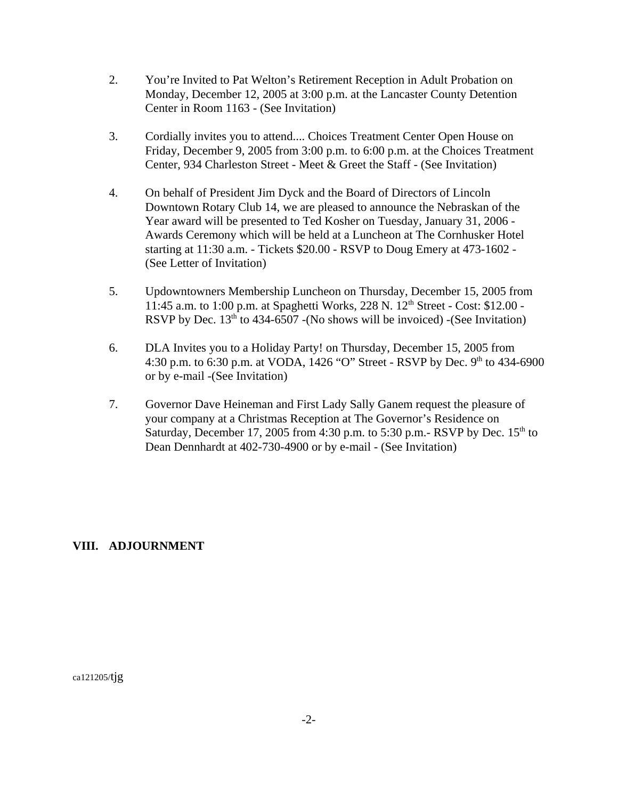- 2. You're Invited to Pat Welton's Retirement Reception in Adult Probation on Monday, December 12, 2005 at 3:00 p.m. at the Lancaster County Detention Center in Room 1163 - (See Invitation)
- 3. Cordially invites you to attend.... Choices Treatment Center Open House on Friday, December 9, 2005 from 3:00 p.m. to 6:00 p.m. at the Choices Treatment Center, 934 Charleston Street - Meet & Greet the Staff - (See Invitation)
- 4. On behalf of President Jim Dyck and the Board of Directors of Lincoln Downtown Rotary Club 14, we are pleased to announce the Nebraskan of the Year award will be presented to Ted Kosher on Tuesday, January 31, 2006 - Awards Ceremony which will be held at a Luncheon at The Cornhusker Hotel starting at 11:30 a.m. - Tickets \$20.00 - RSVP to Doug Emery at 473-1602 - (See Letter of Invitation)
- 5. Updowntowners Membership Luncheon on Thursday, December 15, 2005 from 11:45 a.m. to 1:00 p.m. at Spaghetti Works, 228 N.  $12^{th}$  Street - Cost: \$12.00 -RSVP by Dec.  $13<sup>th</sup>$  to 434-6507 -(No shows will be invoiced) -(See Invitation)
- 6. DLA Invites you to a Holiday Party! on Thursday, December 15, 2005 from 4:30 p.m. to 6:30 p.m. at VODA,  $1426$  "O" Street - RSVP by Dec. 9<sup>th</sup> to 434-6900 or by e-mail -(See Invitation)
- 7. Governor Dave Heineman and First Lady Sally Ganem request the pleasure of your company at a Christmas Reception at The Governor's Residence on Saturday, December 17, 2005 from 4:30 p.m. to 5:30 p.m.- RSVP by Dec.  $15<sup>th</sup>$  to Dean Dennhardt at 402-730-4900 or by e-mail - (See Invitation)

# **VIII. ADJOURNMENT**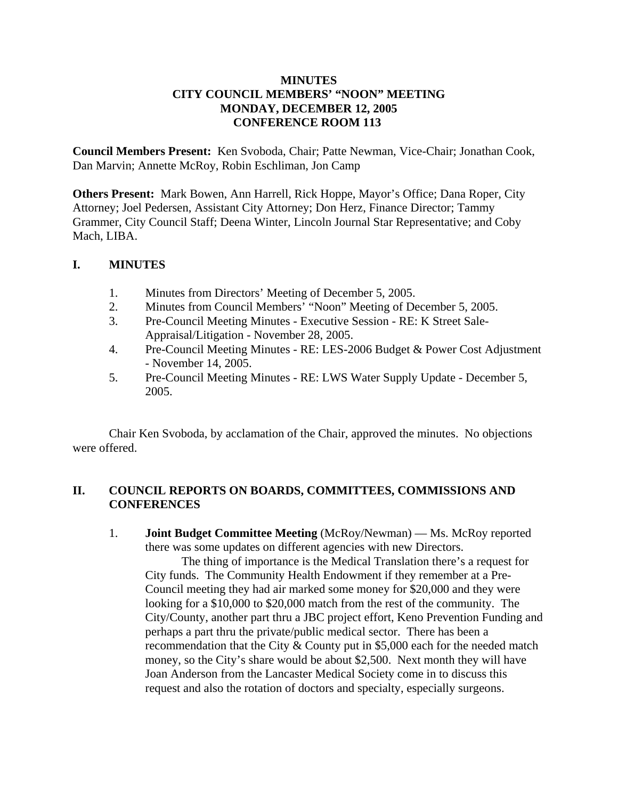## **MINUTES CITY COUNCIL MEMBERS' "NOON" MEETING MONDAY, DECEMBER 12, 2005 CONFERENCE ROOM 113**

**Council Members Present:** Ken Svoboda, Chair; Patte Newman, Vice-Chair; Jonathan Cook, Dan Marvin; Annette McRoy, Robin Eschliman, Jon Camp

**Others Present:** Mark Bowen, Ann Harrell, Rick Hoppe, Mayor's Office; Dana Roper, City Attorney; Joel Pedersen, Assistant City Attorney; Don Herz, Finance Director; Tammy Grammer, City Council Staff; Deena Winter, Lincoln Journal Star Representative; and Coby Mach, LIBA.

# **I. MINUTES**

- 1. Minutes from Directors' Meeting of December 5, 2005.
- 2. Minutes from Council Members' "Noon" Meeting of December 5, 2005.
- 3. Pre-Council Meeting Minutes Executive Session RE: K Street Sale-Appraisal/Litigation - November 28, 2005.
- 4. Pre-Council Meeting Minutes RE: LES-2006 Budget & Power Cost Adjustment - November 14, 2005.
- 5. Pre-Council Meeting Minutes RE: LWS Water Supply Update December 5, 2005.

Chair Ken Svoboda, by acclamation of the Chair, approved the minutes. No objections were offered.

# **II. COUNCIL REPORTS ON BOARDS, COMMITTEES, COMMISSIONS AND CONFERENCES**

1. **Joint Budget Committee Meeting** (McRoy/Newman) — Ms. McRoy reported there was some updates on different agencies with new Directors.

The thing of importance is the Medical Translation there's a request for City funds. The Community Health Endowment if they remember at a Pre-Council meeting they had air marked some money for \$20,000 and they were looking for a \$10,000 to \$20,000 match from the rest of the community. The City/County, another part thru a JBC project effort, Keno Prevention Funding and perhaps a part thru the private/public medical sector. There has been a recommendation that the City & County put in \$5,000 each for the needed match money, so the City's share would be about \$2,500. Next month they will have Joan Anderson from the Lancaster Medical Society come in to discuss this request and also the rotation of doctors and specialty, especially surgeons.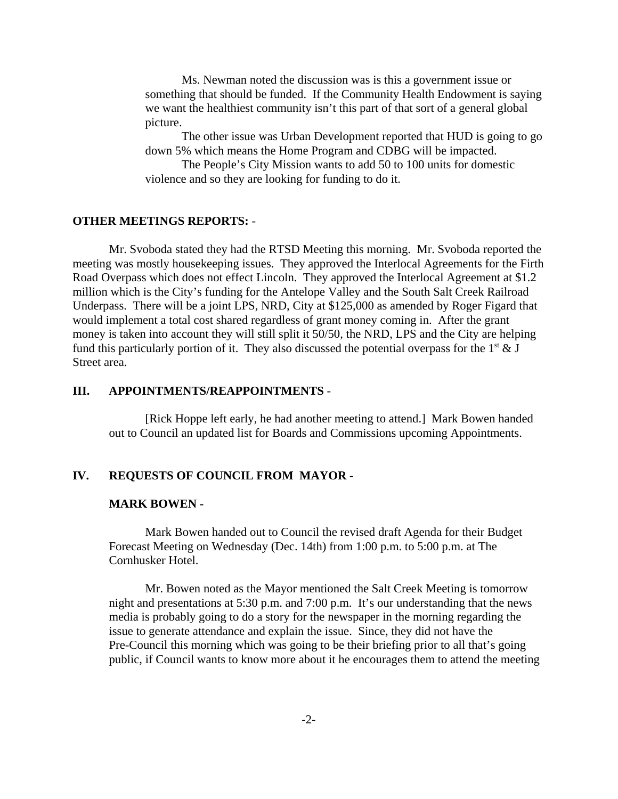Ms. Newman noted the discussion was is this a government issue or something that should be funded. If the Community Health Endowment is saying we want the healthiest community isn't this part of that sort of a general global picture.

The other issue was Urban Development reported that HUD is going to go down 5% which means the Home Program and CDBG will be impacted.

The People's City Mission wants to add 50 to 100 units for domestic violence and so they are looking for funding to do it.

### **OTHER MEETINGS REPORTS:** -

Mr. Svoboda stated they had the RTSD Meeting this morning. Mr. Svoboda reported the meeting was mostly housekeeping issues. They approved the Interlocal Agreements for the Firth Road Overpass which does not effect Lincoln. They approved the Interlocal Agreement at \$1.2 million which is the City's funding for the Antelope Valley and the South Salt Creek Railroad Underpass. There will be a joint LPS, NRD, City at \$125,000 as amended by Roger Figard that would implement a total cost shared regardless of grant money coming in. After the grant money is taken into account they will still split it 50/50, the NRD, LPS and the City are helping fund this particularly portion of it. They also discussed the potential overpass for the  $1<sup>st</sup> \& J$ Street area.

## **III. APPOINTMENTS/REAPPOINTMENTS** -

[Rick Hoppe left early, he had another meeting to attend.] Mark Bowen handed out to Council an updated list for Boards and Commissions upcoming Appointments.

#### **IV. REQUESTS OF COUNCIL FROM MAYOR** -

#### **MARK BOWEN -**

Mark Bowen handed out to Council the revised draft Agenda for their Budget Forecast Meeting on Wednesday (Dec. 14th) from 1:00 p.m. to 5:00 p.m. at The Cornhusker Hotel.

Mr. Bowen noted as the Mayor mentioned the Salt Creek Meeting is tomorrow night and presentations at 5:30 p.m. and 7:00 p.m. It's our understanding that the news media is probably going to do a story for the newspaper in the morning regarding the issue to generate attendance and explain the issue. Since, they did not have the Pre-Council this morning which was going to be their briefing prior to all that's going public, if Council wants to know more about it he encourages them to attend the meeting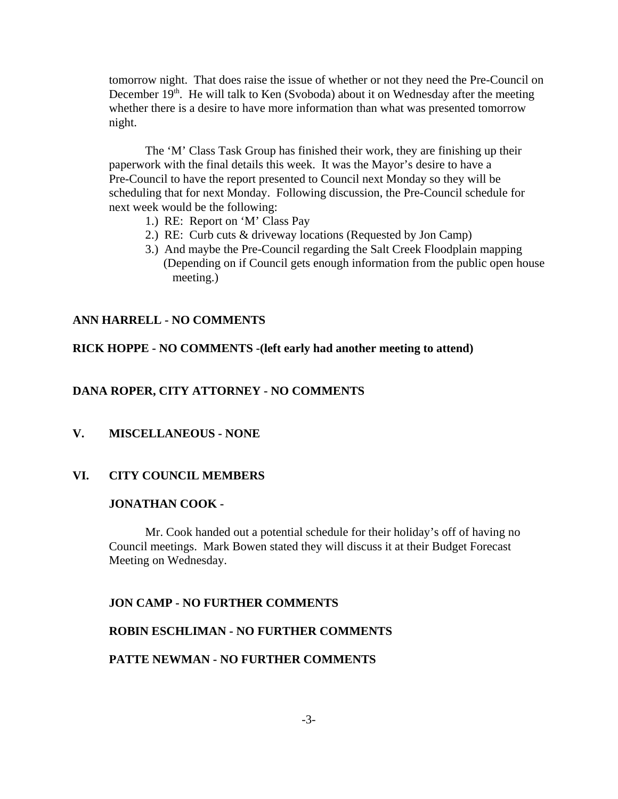tomorrow night. That does raise the issue of whether or not they need the Pre-Council on December  $19<sup>th</sup>$ . He will talk to Ken (Svoboda) about it on Wednesday after the meeting whether there is a desire to have more information than what was presented tomorrow night.

The 'M' Class Task Group has finished their work, they are finishing up their paperwork with the final details this week. It was the Mayor's desire to have a Pre-Council to have the report presented to Council next Monday so they will be scheduling that for next Monday. Following discussion, the Pre-Council schedule for next week would be the following:

- 1.) RE: Report on 'M' Class Pay
- 2.) RE: Curb cuts & driveway locations (Requested by Jon Camp)
- 3.) And maybe the Pre-Council regarding the Salt Creek Floodplain mapping (Depending on if Council gets enough information from the public open house meeting.)

## **ANN HARRELL - NO COMMENTS**

## **RICK HOPPE - NO COMMENTS -(left early had another meeting to attend)**

## **DANA ROPER, CITY ATTORNEY - NO COMMENTS**

## **V. MISCELLANEOUS - NONE**

## **VI. CITY COUNCIL MEMBERS**

## **JONATHAN COOK -**

Mr. Cook handed out a potential schedule for their holiday's off of having no Council meetings. Mark Bowen stated they will discuss it at their Budget Forecast Meeting on Wednesday.

## **JON CAMP - NO FURTHER COMMENTS**

## **ROBIN ESCHLIMAN - NO FURTHER COMMENTS**

## **PATTE NEWMAN - NO FURTHER COMMENTS**